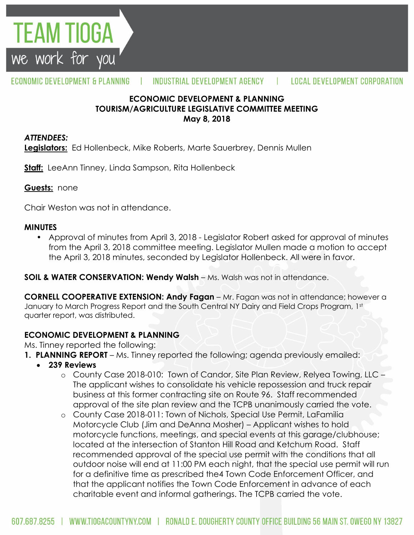

#### ECONOMIC DEVELOPMENT & PLANNING INDUSTRIAL DEVELOPMENT AGENCY  $\mathbf{L}$ **LOCAL DEVELOPMENT CORPORATION**

## **ECONOMIC DEVELOPMENT & PLANNING TOURISM/AGRICULTURE LEGISLATIVE COMMITTEE MEETING May 8, 2018**

#### *ATTENDEES:*

**Legislators:** Ed Hollenbeck, Mike Roberts, Marte Sauerbrey, Dennis Mullen

**Staff:** LeeAnn Tinney, Linda Sampson, Rita Hollenbeck

#### **Guests:** none

Chair Weston was not in attendance.

#### **MINUTES**

• Approval of minutes from April 3, 2018 - Legislator Robert asked for approval of minutes from the April 3, 2018 committee meeting. Legislator Mullen made a motion to accept the April 3, 2018 minutes, seconded by Legislator Hollenbeck. All were in favor.

**SOIL & WATER CONSERVATION: Wendy Walsh** – Ms. Walsh was not in attendance.

**CORNELL COOPERATIVE EXTENSION: Andy Fagan** – Mr. Fagan was not in attendance; however a January to March Progress Report and the South Central NY Dairy and Field Crops Program, 1st quarter report, was distributed.

## **ECONOMIC DEVELOPMENT & PLANNING**

Ms. Tinney reported the following:

- **1. PLANNING REPORT** Ms. Tinney reported the following; agenda previously emailed:
	- **239 Reviews**
		- o County Case 2018-010: Town of Candor, Site Plan Review, Relyea Towing, LLC The applicant wishes to consolidate his vehicle repossession and truck repair business at this former contracting site on Route 96. Staff recommended approval of the site plan review and the TCPB unanimously carried the vote.
		- o County Case 2018-011: Town of Nichols, Special Use Permit, LaFamilia Motorcycle Club (Jim and DeAnna Mosher) – Applicant wishes to hold motorcycle functions, meetings, and special events at this garage/clubhouse; located at the intersection of Stanton Hill Road and Ketchum Road. Staff recommended approval of the special use permit with the conditions that all outdoor noise will end at 11:00 PM each night, that the special use permit will run for a definitive time as prescribed the4 Town Code Enforcement Officer, and that the applicant notifies the Town Code Enforcement in advance of each charitable event and informal gatherings. The TCPB carried the vote.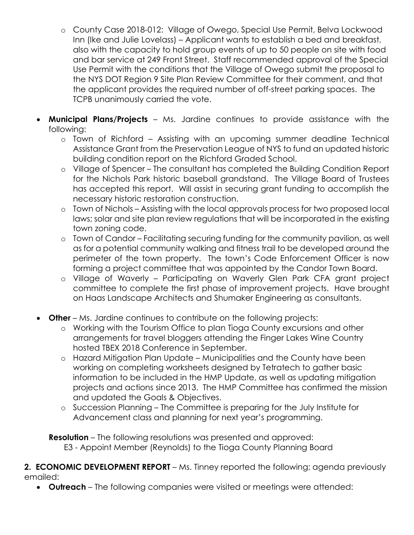- o County Case 2018-012: Village of Owego, Special Use Permit, Belva Lockwood Inn (Ike and Julie Lovelass) – Applicant wants to establish a bed and breakfast, also with the capacity to hold group events of up to 50 people on site with food and bar service at 249 Front Street. Staff recommended approval of the Special Use Permit with the conditions that the Village of Owego submit the proposal to the NYS DOT Region 9 Site Plan Review Committee for their comment, and that the applicant provides the required number of off-street parking spaces. The TCPB unanimously carried the vote.
- **Municipal Plans/Projects**  Ms. Jardine continues to provide assistance with the following:
	- o Town of Richford Assisting with an upcoming summer deadline Technical Assistance Grant from the Preservation League of NYS to fund an updated historic building condition report on the Richford Graded School.
	- o Village of Spencer The consultant has completed the Building Condition Report for the Nichols Park historic baseball grandstand. The Village Board of Trustees has accepted this report. Will assist in securing grant funding to accomplish the necessary historic restoration construction.
	- o Town of Nichols Assisting with the local approvals process for two proposed local laws; solar and site plan review regulations that will be incorporated in the existing town zoning code.
	- o Town of Candor Facilitating securing funding for the community pavilion, as well as for a potential community walking and fitness trail to be developed around the perimeter of the town property. The town's Code Enforcement Officer is now forming a project committee that was appointed by the Candor Town Board.
	- o Village of Waverly Participating on Waverly Glen Park CFA grant project committee to complete the first phase of improvement projects. Have brought on Haas Landscape Architects and Shumaker Engineering as consultants.
- **Other** Ms. Jardine continues to contribute on the following projects:
	- o Working with the Tourism Office to plan Tioga County excursions and other arrangements for travel bloggers attending the Finger Lakes Wine Country hosted TBEX 2018 Conference in September.
	- o Hazard Mitigation Plan Update Municipalities and the County have been working on completing worksheets designed by Tetratech to gather basic information to be included in the HMP Update, as well as updating mitigation projects and actions since 2013. The HMP Committee has confirmed the mission and updated the Goals & Objectives.
	- o Succession Planning The Committee is preparing for the July Institute for Advancement class and planning for next year's programming.

**Resolution** – The following resolutions was presented and approved: E3 - Appoint Member (Reynolds) to the Tioga County Planning Board

## **2. ECONOMIC DEVELOPMENT REPORT** – Ms. Tinney reported the following; agenda previously emailed:

**Outreach** – The following companies were visited or meetings were attended: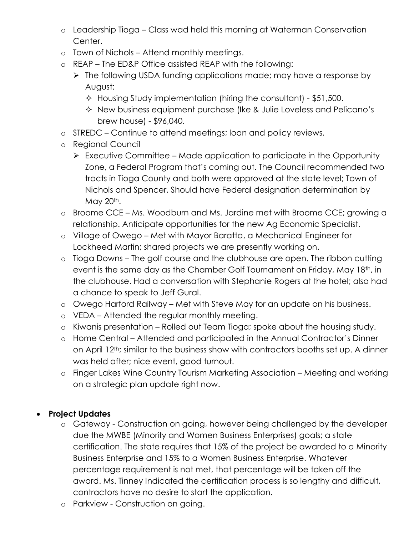- o Leadership Tioga Class wad held this morning at Waterman Conservation Center.
- o Town of Nichols Attend monthly meetings.
- o REAP The ED&P Office assisted REAP with the following:
	- $\triangleright$  The following USDA funding applications made; may have a response by August:
		- $\div$  Housing Study implementation (hiring the consultant) \$51,500.
		- $\Diamond$  New business equipment purchase (Ike & Julie Loveless and Pelicano's brew house) - \$96,040.
- o STREDC Continue to attend meetings; loan and policy reviews.
- o Regional Council
	- $\triangleright$  Executive Committee Made application to participate in the Opportunity Zone, a Federal Program that's coming out. The Council recommended two tracts in Tioga County and both were approved at the state level; Town of Nichols and Spencer. Should have Federal designation determination by May 20<sup>th</sup>.
- o Broome CCE Ms. Woodburn and Ms. Jardine met with Broome CCE; growing a relationship. Anticipate opportunities for the new Ag Economic Specialist.
- o Village of Owego Met with Mayor Baratta, a Mechanical Engineer for Lockheed Martin; shared projects we are presently working on.
- o Tioga Downs The golf course and the clubhouse are open. The ribbon cutting event is the same day as the Chamber Golf Tournament on Friday, May 18th, in the clubhouse. Had a conversation with Stephanie Rogers at the hotel; also had a chance to speak to Jeff Gural.
- o Owego Harford Railway Met with Steve May for an update on his business.
- o VEDA Attended the regular monthly meeting.
- o Kiwanis presentation Rolled out Team Tioga; spoke about the housing study.
- o Home Central Attended and participated in the Annual Contractor's Dinner on April 12th; similar to the business show with contractors booths set up. A dinner was held after; nice event, good turnout.
- o Finger Lakes Wine Country Tourism Marketing Association Meeting and working on a strategic plan update right now.

# **Project Updates**

- o Gateway Construction on going, however being challenged by the developer due the MWBE (Minority and Women Business Enterprises) goals; a state certification. The state requires that 15% of the project be awarded to a Minority Business Enterprise and 15% to a Women Business Enterprise. Whatever percentage requirement is not met, that percentage will be taken off the award. Ms. Tinney Indicated the certification process is so lengthy and difficult, contractors have no desire to start the application.
- o Parkview Construction on going.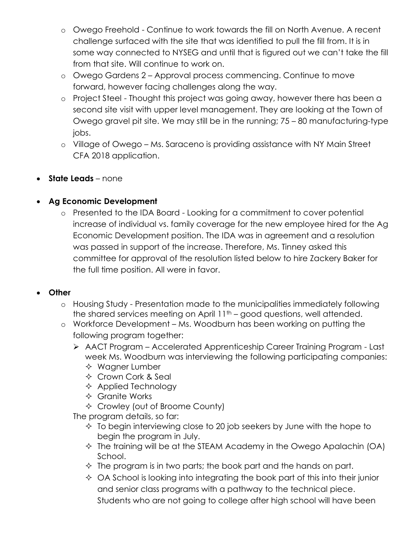- o Owego Freehold Continue to work towards the fill on North Avenue. A recent challenge surfaced with the site that was identified to pull the fill from. It is in some way connected to NYSEG and until that is figured out we can't take the fill from that site. Will continue to work on.
- o Owego Gardens 2 Approval process commencing. Continue to move forward, however facing challenges along the way.
- o Project Steel Thought this project was going away, however there has been a second site visit with upper level management. They are looking at the Town of Owego gravel pit site. We may still be in the running; 75 – 80 manufacturing-type jobs.
- o Village of Owego Ms. Saraceno is providing assistance with NY Main Street CFA 2018 application.
- **State Leads** none

# **Ag Economic Development**

o Presented to the IDA Board - Looking for a commitment to cover potential increase of individual vs. family coverage for the new employee hired for the Ag Economic Development position. The IDA was in agreement and a resolution was passed in support of the increase. Therefore, Ms. Tinney asked this committee for approval of the resolution listed below to hire Zackery Baker for the full time position. All were in favor.

# **Other**

- o Housing Study Presentation made to the municipalities immediately following the shared services meeting on April  $11<sup>th</sup>$  – good questions, well attended.
- o Workforce Development Ms. Woodburn has been working on putting the following program together:
	- AACT Program Accelerated Apprenticeship Career Training Program Last week Ms. Woodburn was interviewing the following participating companies:
		- $\Diamond$  Wagner Lumber
		- **↑ Crown Cork & Seal**
		- $\Diamond$  Applied Technology
		- Granite Works
		- $\Diamond$  Crowley (out of Broome County)

The program details, so far:

- $\Diamond$  To begin interviewing close to 20 job seekers by June with the hope to begin the program in July.
- $\Diamond$  The training will be at the STEAM Academy in the Owego Apalachin (OA) School.
- $\Diamond$  The program is in two parts; the book part and the hands on part.
- $\Diamond$  OA School is looking into integrating the book part of this into their junior and senior class programs with a pathway to the technical piece. Students who are not going to college after high school will have been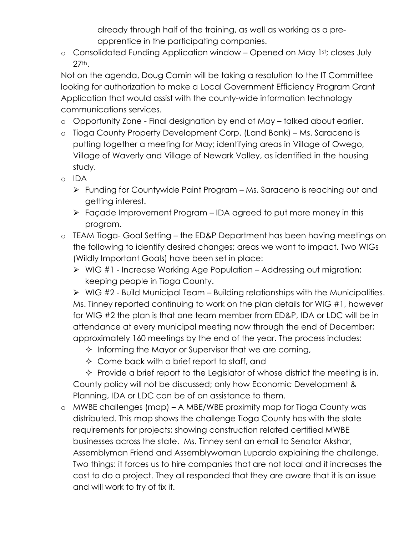already through half of the training, as well as working as a preapprentice in the participating companies.

o Consolidated Funding Application window – Opened on May 1st; closes July 27th.

Not on the agenda, Doug Camin will be taking a resolution to the IT Committee looking for authorization to make a Local Government Efficiency Program Grant Application that would assist with the county-wide information technology communications services.

- o Opportunity Zone Final designation by end of May talked about earlier.
- o Tioga County Property Development Corp. (Land Bank) Ms. Saraceno is putting together a meeting for May; identifying areas in Village of Owego, Village of Waverly and Village of Newark Valley, as identified in the housing study.
- o IDA
	- Funding for Countywide Paint Program Ms. Saraceno is reaching out and getting interest.
	- Façade Improvement Program IDA agreed to put more money in this program.
- o TEAM Tioga- Goal Setting the ED&P Department has been having meetings on the following to identify desired changes; areas we want to impact. Two WIGs (Wildly Important Goals) have been set in place:
	- $\triangleright$  WIG #1 Increase Working Age Population Addressing out migration; keeping people in Tioga County.

 $\triangleright$  WIG #2 - Build Municipal Team – Building relationships with the Municipalities. Ms. Tinney reported continuing to work on the plan details for WIG #1, however for WIG #2 the plan is that one team member from ED&P, IDA or LDC will be in attendance at every municipal meeting now through the end of December; approximately 160 meetings by the end of the year. The process includes:

- $\Diamond$  Informing the Mayor or Supervisor that we are coming,
- $\Diamond$  Come back with a brief report to staff, and

 $\Diamond$  Provide a brief report to the Legislator of whose district the meeting is in. County policy will not be discussed; only how Economic Development & Planning, IDA or LDC can be of an assistance to them.

o MWBE challenges (map) – A MBE/WBE proximity map for Tioga County was distributed. This map shows the challenge Tioga County has with the state requirements for projects; showing construction related certified MWBE businesses across the state. Ms. Tinney sent an email to Senator Akshar, Assemblyman Friend and Assemblywoman Lupardo explaining the challenge. Two things: it forces us to hire companies that are not local and it increases the cost to do a project. They all responded that they are aware that it is an issue and will work to try of fix it.